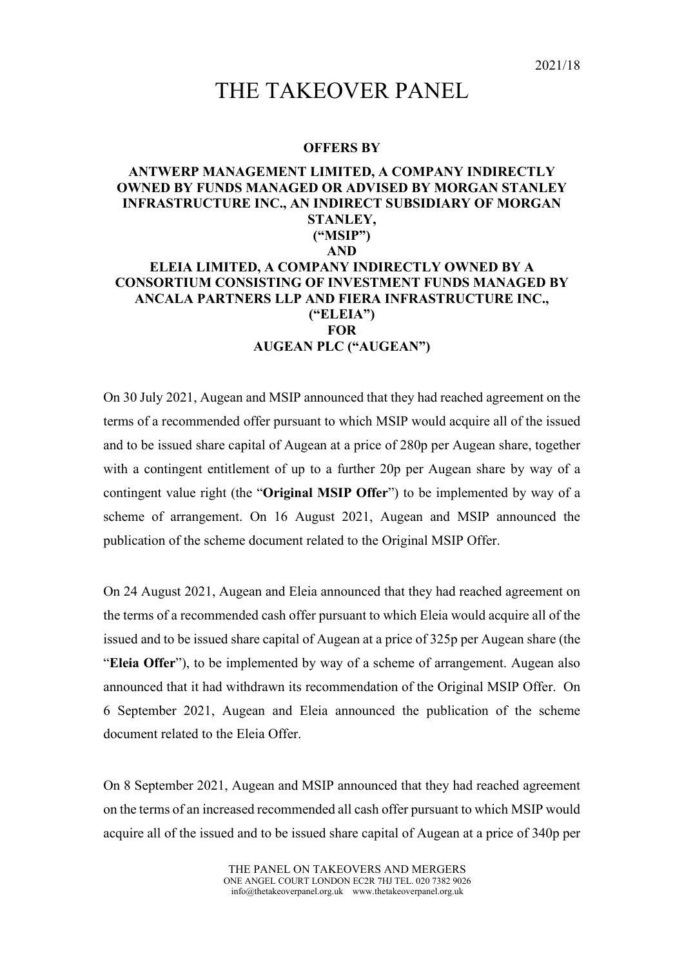## THE TAKEOVER PANEL

## **OFFERS BY**

## **ANTWERP MANAGEMENT LIMITED, A COMPANY INDIRECTLY OWNED BY FUNDS MANAGED OR ADVISED BY MORGAN STANLEY INFRASTRUCTURE INC., AN INDIRECT SUBSIDIARY OF MORGAN STANLEY, ("MSIP") AND ELEIA LIMITED, A COMPANY INDIRECTLY OWNED BY A CONSORTIUM CONSISTING OF INVESTMENT FUNDS MANAGED BY ANCALA PARTNERS LLP AND FIERA INFRASTRUCTURE INC., ("ELEIA") FOR AUGEAN PLC ("AUGEAN")**

On 30 July 2021, Augean and MSIP announced that they had reached agreement on the terms of a recommended offer pursuant to which MSIP would acquire all of the issued and to be issued share capital of Augean at a price of 280p per Augean share, together with a contingent entitlement of up to a further 20p per Augean share by way of a contingent value right (the "**Original MSIP Offer**") to be implemented by way of a scheme of arrangement. On 16 August 2021, Augean and MSIP announced the publication of the scheme document related to the Original MSIP Offer.

On 24 August 2021, Augean and Eleia announced that they had reached agreement on the terms of a recommended cash offer pursuant to which Eleia would acquire all of the issued and to be issued share capital of Augean at a price of 325p per Augean share (the "**Eleia Offer**"), to be implemented by way of a scheme of arrangement. Augean also announced that it had withdrawn its recommendation of the Original MSIP Offer. On 6 September 2021, Augean and Eleia announced the publication of the scheme document related to the Eleia Offer.

On 8 September 2021, Augean and MSIP announced that they had reached agreement on the terms of an increased recommended all cash offer pursuant to which MSIP would acquire all of the issued and to be issued share capital of Augean at a price of 340p per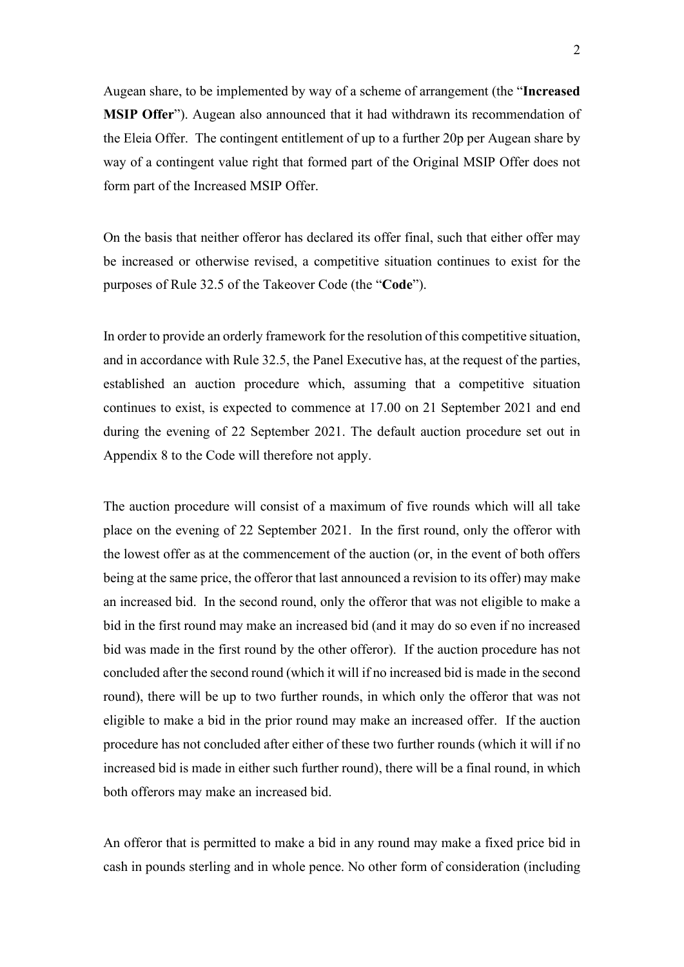Augean share, to be implemented by way of a scheme of arrangement (the "**Increased MSIP Offer**"). Augean also announced that it had withdrawn its recommendation of the Eleia Offer. The contingent entitlement of up to a further 20p per Augean share by way of a contingent value right that formed part of the Original MSIP Offer does not form part of the Increased MSIP Offer.

On the basis that neither offeror has declared its offer final, such that either offer may be increased or otherwise revised, a competitive situation continues to exist for the purposes of Rule 32.5 of the Takeover Code (the "**Code**").

In order to provide an orderly framework for the resolution of this competitive situation, and in accordance with Rule 32.5, the Panel Executive has, at the request of the parties, established an auction procedure which, assuming that a competitive situation continues to exist, is expected to commence at 17.00 on 21 September 2021 and end during the evening of 22 September 2021. The default auction procedure set out in Appendix 8 to the Code will therefore not apply.

The auction procedure will consist of a maximum of five rounds which will all take place on the evening of 22 September 2021. In the first round, only the offeror with the lowest offer as at the commencement of the auction (or, in the event of both offers being at the same price, the offeror that last announced a revision to its offer) may make an increased bid. In the second round, only the offeror that was not eligible to make a bid in the first round may make an increased bid (and it may do so even if no increased bid was made in the first round by the other offeror). If the auction procedure has not concluded after the second round (which it will if no increased bid is made in the second round), there will be up to two further rounds, in which only the offeror that was not eligible to make a bid in the prior round may make an increased offer. If the auction procedure has not concluded after either of these two further rounds (which it will if no increased bid is made in either such further round), there will be a final round, in which both offerors may make an increased bid.

An offeror that is permitted to make a bid in any round may make a fixed price bid in cash in pounds sterling and in whole pence. No other form of consideration (including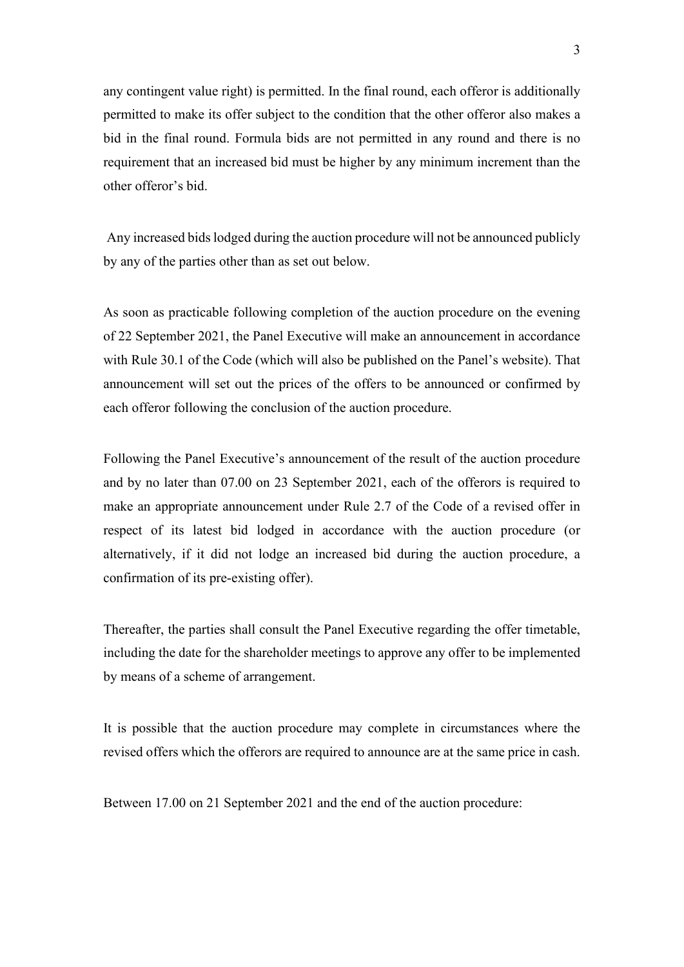any contingent value right) is permitted. In the final round, each offeror is additionally permitted to make its offer subject to the condition that the other offeror also makes a bid in the final round. Formula bids are not permitted in any round and there is no requirement that an increased bid must be higher by any minimum increment than the other offeror's bid.

Any increased bids lodged during the auction procedure will not be announced publicly by any of the parties other than as set out below.

As soon as practicable following completion of the auction procedure on the evening of 22 September 2021, the Panel Executive will make an announcement in accordance with Rule 30.1 of the Code (which will also be published on the Panel's website). That announcement will set out the prices of the offers to be announced or confirmed by each offeror following the conclusion of the auction procedure.

Following the Panel Executive's announcement of the result of the auction procedure and by no later than 07.00 on 23 September 2021, each of the offerors is required to make an appropriate announcement under Rule 2.7 of the Code of a revised offer in respect of its latest bid lodged in accordance with the auction procedure (or alternatively, if it did not lodge an increased bid during the auction procedure, a confirmation of its pre-existing offer).

Thereafter, the parties shall consult the Panel Executive regarding the offer timetable, including the date for the shareholder meetings to approve any offer to be implemented by means of a scheme of arrangement.

It is possible that the auction procedure may complete in circumstances where the revised offers which the offerors are required to announce are at the same price in cash.

Between 17.00 on 21 September 2021 and the end of the auction procedure: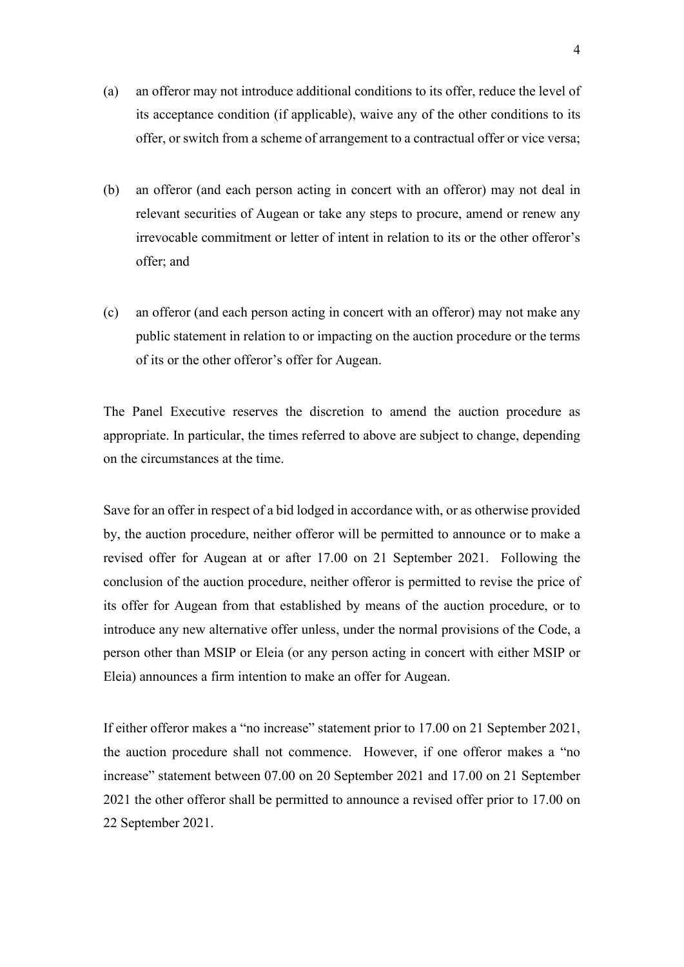- (a) an offeror may not introduce additional conditions to its offer, reduce the level of its acceptance condition (if applicable), waive any of the other conditions to its offer, or switch from a scheme of arrangement to a contractual offer or vice versa;
- (b) an offeror (and each person acting in concert with an offeror) may not deal in relevant securities of Augean or take any steps to procure, amend or renew any irrevocable commitment or letter of intent in relation to its or the other offeror's offer; and
- (c) an offeror (and each person acting in concert with an offeror) may not make any public statement in relation to or impacting on the auction procedure or the terms of its or the other offeror's offer for Augean.

The Panel Executive reserves the discretion to amend the auction procedure as appropriate. In particular, the times referred to above are subject to change, depending on the circumstances at the time.

Save for an offer in respect of a bid lodged in accordance with, or as otherwise provided by, the auction procedure, neither offeror will be permitted to announce or to make a revised offer for Augean at or after 17.00 on 21 September 2021. Following the conclusion of the auction procedure, neither offeror is permitted to revise the price of its offer for Augean from that established by means of the auction procedure, or to introduce any new alternative offer unless, under the normal provisions of the Code, a person other than MSIP or Eleia (or any person acting in concert with either MSIP or Eleia) announces a firm intention to make an offer for Augean.

If either offeror makes a "no increase" statement prior to 17.00 on 21 September 2021, the auction procedure shall not commence. However, if one offeror makes a "no increase" statement between 07.00 on 20 September 2021 and 17.00 on 21 September 2021 the other offeror shall be permitted to announce a revised offer prior to 17.00 on 22 September 2021.